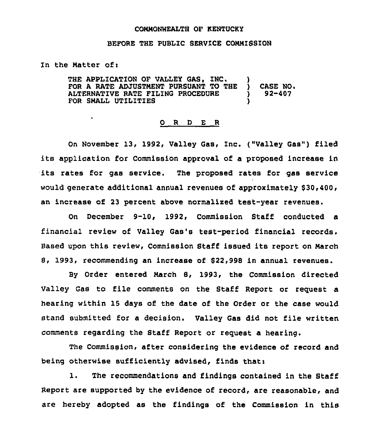# COMMONWEALTH OF KENTUCKY

#### BEFORE THE PUBLIC SERVICE COMMISSION

In the Matter of <sup>i</sup>

THE APPLICATION OF VALLEY GAS, INC. FOR A RATE ADJUSTMENT PURSUANT TO THE CASE NO. ALTERNATIVE RATE FILING PROCEDURE ١ 92-407 FOR SMALL UTILITIES

### 0 R <sup>D</sup> E R

On November 13, 1992, Valley Gas, Inc. ("Valley Gas") filed its application for Commission approval of a proposed increase in its rates for gas service. The proposed rates for gas service would generate additional annual revenues of approximately \$30,400, an increase of 23 percent above normalized test-year revenues.

On December 9-10, 1992, Commission Staff conducted a financial review of Valley Gas's test-period financial records. Based upon this review, Commission Staff issued its report on March 8, 1993, recommending an increase of \$22,998 in annual revenues.

By Order entered March 8, 1993, the Commission directed Valley Gas to file comments on the Staff Report or request a hearing within 15 days of the date of the Order or the case would stand submitted for a decision. Valley Gas did not file written comments regarding the Staff Report or request a hearing.

The Commission, after considering the evidence of record and being otherwise sufficiently advised, finds that:

1. The recommendations and findings contained in the Staff Report are supported by the evidence of record, are reasonable, and are hereby adopted as the findings of the Commission in this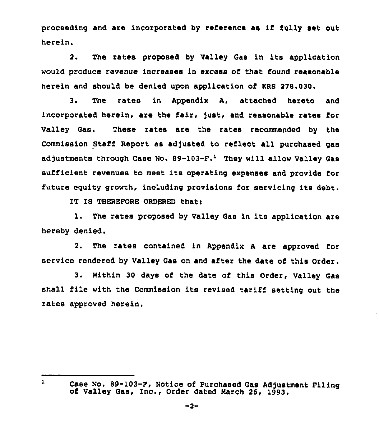proceeding and are incorporated by reference as if fully set out herein.

2. The rates proposed by Valley Gas in its application would produce revenue increases in excess of that found reasonable herein and should be denied upon application of KRS 278.030.

3. The rates in Appendix A, attached hereto and incorporated herein, are the fair, Just, and reasonable rates for Valley Gas. These rates are the rates recommended by the Commission Staff Report as adjusted to reflect all purchased gas adjustments through Case No. 89-103-F.<sup>1</sup> They will allow Valley Gas sufficient revenues to meet its operating expenses and provide for future equity growth, including provisions for servicing its debt.

IT IS THEREFORE ORDERED that:

1. The rates proposed by Valley Gas in its application are hereby denied.

2. The rates contained in Appendix <sup>A</sup> are approved for service rendered by Valley Gas on and after the date of this Order.

3. Within 30 days of the date of this Order, Valley Gas shall file with the Commission its revised tariff setting out the rates approved herein,

 $\mathbf{L}$ 

Case No. 89-103-F, Notice of Purchased Gas Adjustment Filing<br>of Valley Gas, Inc., Order dated March 26, 1993.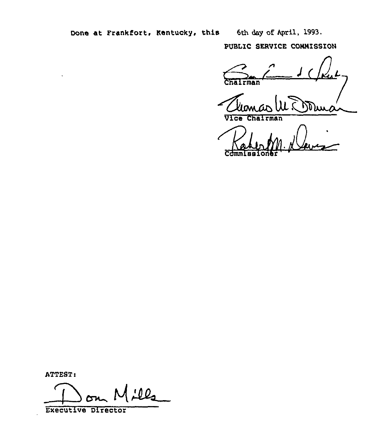Done at Frankfort, Kentucky, this 6th day of April, 1993.

PUBLIC SERVICE COMMISSION

 $r$ man

Vice Chairman

ATTEST:

100

**Executive Director**